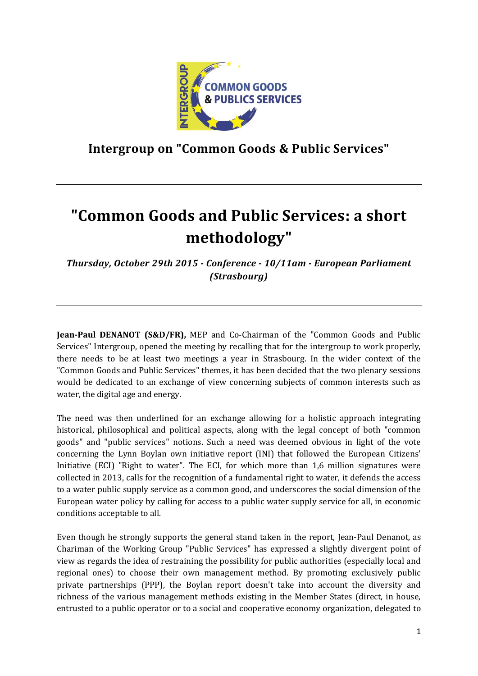

**Intergroup on "Common Goods & Public Services"**

# **"Common Goods and Public Services: a short methodology"**

*Thursday, October 29th 2015 - Conference - 10/11am - European Parliament (Strasbourg)*

**Jean-Paul DENANOT (S&D/FR),** MEP and Co-Chairman of the "Common Goods and Public Services" Intergroup, opened the meeting by recalling that for the intergroup to work properly, there needs to be at least two meetings a year in Strasbourg. In the wider context of the "Common Goods and Public Services" themes, it has been decided that the two plenary sessions would be dedicated to an exchange of view concerning subjects of common interests such as water, the digital age and energy.

The need was then underlined for an exchange allowing for a holistic approach integrating historical, philosophical and political aspects, along with the legal concept of both "common goods" and "public services" notions. Such a need was deemed obvious in light of the vote concerning the Lynn Boylan own initiative report (INI) that followed the European Citizens' Initiative (ECI) "Right to water". The ECI, for which more than 1,6 million signatures were collected in 2013, calls for the recognition of a fundamental right to water, it defends the access to a water public supply service as a common good, and underscores the social dimension of the European water policy by calling for access to a public water supply service for all, in economic conditions acceptable to all.

Even though he strongly supports the general stand taken in the report, Jean-Paul Denanot, as Chariman of the Working Group "Public Services" has expressed a slightly divergent point of view as regards the idea of restraining the possibility for public authorities (especially local and regional ones) to choose their own management method. By promoting exclusively public private partnerships (PPP), the Boylan report doesn't take into account the diversity and richness of the various management methods existing in the Member States (direct, in house, entrusted to a public operator or to a social and cooperative economy organization, delegated to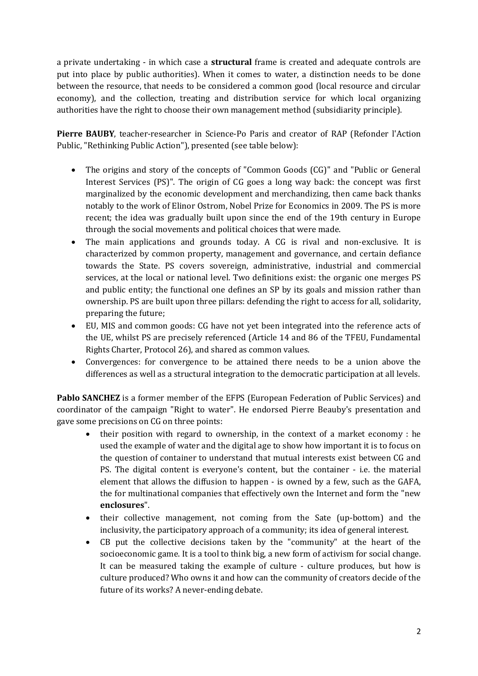a private undertaking - in which case a **structural** frame is created and adequate controls are put into place by public authorities). When it comes to water, a distinction needs to be done between the resource, that needs to be considered a common good (local resource and circular economy), and the collection, treating and distribution service for which local organizing authorities have the right to choose their own management method (subsidiarity principle).

**Pierre BAUBY**, teacher-researcher in Science-Po Paris and creator of RAP (Refonder l'Action Public, "Rethinking Public Action"), presented (see table below):

- The origins and story of the concepts of "Common Goods (CG)" and "Public or General Interest Services (PS)". The origin of CG goes a long way back: the concept was first marginalized by the economic development and merchandizing, then came back thanks notably to the work of Elinor Ostrom, Nobel Prize for Economics in 2009. The PS is more recent; the idea was gradually built upon since the end of the 19th century in Europe through the social movements and political choices that were made.
- The main applications and grounds today. A CG is rival and non-exclusive. It is characterized by common property, management and governance, and certain defiance towards the State. PS covers sovereign, administrative, industrial and commercial services, at the local or national level. Two definitions exist: the organic one merges PS and public entity; the functional one defines an SP by its goals and mission rather than ownership. PS are built upon three pillars: defending the right to access for all, solidarity, preparing the future;
- EU, MIS and common goods: CG have not yet been integrated into the reference acts of the UE, whilst PS are precisely referenced (Article 14 and 86 of the TFEU, Fundamental Rights Charter, Protocol 26), and shared as common values.
- Convergences: for convergence to be attained there needs to be a union above the differences as well as a structural integration to the democratic participation at all levels.

**Pablo SANCHEZ** is a former member of the EFPS (European Federation of Public Services) and coordinator of the campaign "Right to water". He endorsed Pierre Beauby's presentation and gave some precisions on CG on three points:

- their position with regard to ownership, in the context of a market economy : he used the example of water and the digital age to show how important it is to focus on the question of container to understand that mutual interests exist between CG and PS. The digital content is everyone's content, but the container - i.e. the material element that allows the diffusion to happen - is owned by a few, such as the GAFA, the for multinational companies that effectively own the Internet and form the "new **enclosures**".
- their collective management, not coming from the Sate (up-bottom) and the inclusivity, the participatory approach of a community; its idea of general interest.
- CB put the collective decisions taken by the "community" at the heart of the socioeconomic game. It is a tool to think big, a new form of activism for social change. It can be measured taking the example of culture - culture produces, but how is culture produced? Who owns it and how can the community of creators decide of the future of its works? A never-ending debate.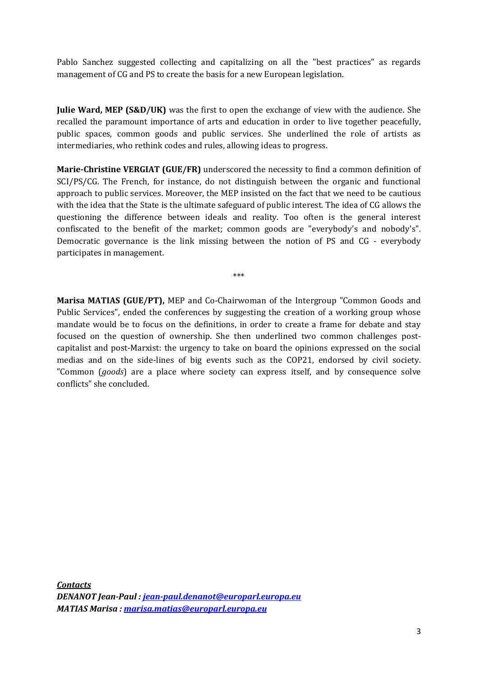Pablo Sanchez suggested collecting and capitalizing on all the "best practices" as regards management of CG and PS to create the basis for a new European legislation.

**Julie Ward, MEP (S&D/UK)** was the first to open the exchange of view with the audience. She recalled the paramount importance of arts and education in order to live together peacefully, public spaces, common goods and public services. She underlined the role of artists as intermediaries, who rethink codes and rules, allowing ideas to progress.

**Marie-Christine VERGIAT (GUE/FR)** underscored the necessity to find a common definition of SCI/PS/CG. The French, for instance, do not distinguish between the organic and functional approach to public services. Moreover, the MEP insisted on the fact that we need to be cautious with the idea that the State is the ultimate safeguard of public interest. The idea of CG allows the questioning the difference between ideals and reality. Too often is the general interest confiscated to the benefit of the market; common goods are "everybody's and nobody's". Democratic governance is the link missing between the notion of PS and CG - everybody participates in management.

\*\*\*

**Marisa MATIAS (GUE/PT),** MEP and Co-Chairwoman of the Intergroup "Common Goods and Public Services", ended the conferences by suggesting the creation of a working group whose mandate would be to focus on the definitions, in order to create a frame for debate and stay focused on the question of ownership. She then underlined two common challenges postcapitalist and post-Marxist: the urgency to take on board the opinions expressed on the social medias and on the side-lines of big events such as the COP21, endorsed by civil society. "Common (*goods*) are a place where society can express itself, and by consequence solve conflicts" she concluded.